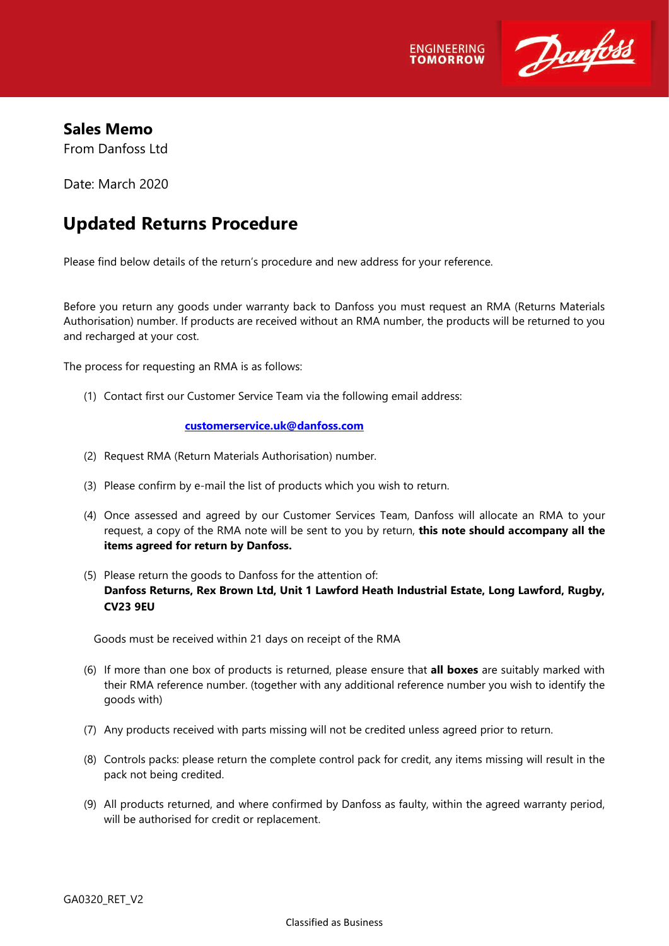



## **Sales Memo**

From Danfoss Ltd

Date: March 2020

## **Updated Returns Procedure**

Please find below details of the return's procedure and new address for your reference.

Before you return any goods under warranty back to Danfoss you must request an RMA (Returns Materials Authorisation) number. If products are received without an RMA number, the products will be returned to you and recharged at your cost.

The process for requesting an RMA is as follows:

(1) Contact first our Customer Service Team via the following email address:

## **[customerservice.uk@danfoss.com](mailto:customerservice.uk@danfoss.com)**

- (2) Request RMA (Return Materials Authorisation) number.
- (3) Please confirm by e-mail the list of products which you wish to return.
- (4) Once assessed and agreed by our Customer Services Team, Danfoss will allocate an RMA to your request, a copy of the RMA note will be sent to you by return, **this note should accompany all the items agreed for return by Danfoss.**
- (5) Please return the goods to Danfoss for the attention of: **Danfoss Returns, Rex Brown Ltd, Unit 1 Lawford Heath Industrial Estate, Long Lawford, Rugby, CV23 9EU**

Goods must be received within 21 days on receipt of the RMA

- (6) If more than one box of products is returned, please ensure that **all boxes** are suitably marked with their RMA reference number. (together with any additional reference number you wish to identify the goods with)
- (7) Any products received with parts missing will not be credited unless agreed prior to return.
- (8) Controls packs: please return the complete control pack for credit, any items missing will result in the pack not being credited.
- (9) All products returned, and where confirmed by Danfoss as faulty, within the agreed warranty period, will be authorised for credit or replacement.